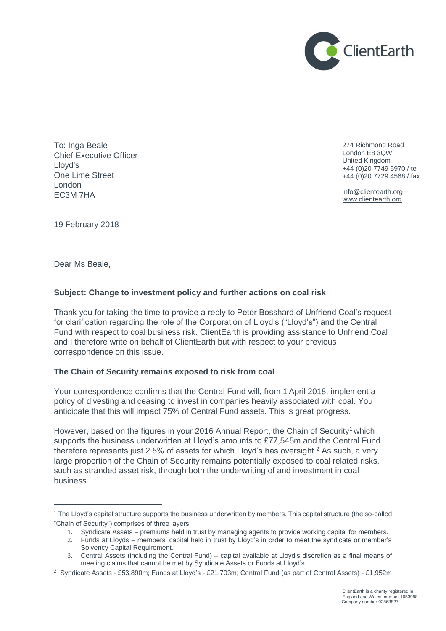

To: Inga Beale Chief Executive Officer Lloyd's One Lime Street London EC3M 7HA

274 Richmond Road London E8 3QW United Kingdom +44 (0)20 7749 5970 / tel +44 (0)20 7729 4568 / fax

info@clientearth.org [www.clientearth.org](http://www.clientearth.org/)

19 February 2018

Dear Ms Beale,

 $\overline{a}$ 

# **Subject: Change to investment policy and further actions on coal risk**

Thank you for taking the time to provide a reply to Peter Bosshard of Unfriend Coal's request for clarification regarding the role of the Corporation of Lloyd's ("Lloyd's") and the Central Fund with respect to coal business risk. ClientEarth is providing assistance to Unfriend Coal and I therefore write on behalf of ClientEarth but with respect to your previous correspondence on this issue.

# **The Chain of Security remains exposed to risk from coal**

Your correspondence confirms that the Central Fund will, from 1 April 2018, implement a policy of divesting and ceasing to invest in companies heavily associated with coal. You anticipate that this will impact 75% of Central Fund assets. This is great progress.

However, based on the figures in your 2016 Annual Report, the Chain of Security<sup>1</sup> which supports the business underwritten at Lloyd's amounts to £77,545m and the Central Fund therefore represents just 2.5% of assets for which Lloyd's has oversight.<sup>2</sup> As such, a very large proportion of the Chain of Security remains potentially exposed to coal related risks, such as stranded asset risk, through both the underwriting of and investment in coal business.

<sup>1</sup> The Lloyd's capital structure supports the business underwritten by members. This capital structure (the so-called "Chain of Security") comprises of three layers:

<sup>1.</sup> Syndicate Assets – premiums held in trust by managing agents to provide working capital for members.

<sup>2.</sup> Funds at Lloyds – members' capital held in trust by Lloyd's in order to meet the syndicate or member's Solvency Capital Requirement.

<sup>3.</sup> Central Assets (including the Central Fund) – capital available at Lloyd's discretion as a final means of meeting claims that cannot be met by Syndicate Assets or Funds at Lloyd's.

<sup>2</sup> Syndicate Assets - £53,890m; Funds at Lloyd's - £21,703m; Central Fund (as part of Central Assets) - £1,952m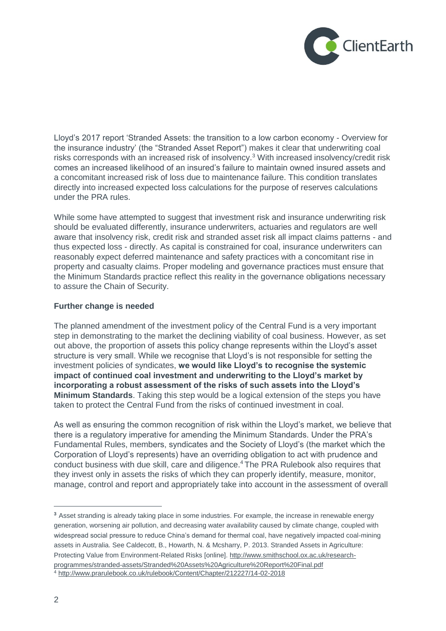

Lloyd's 2017 report 'Stranded Assets: the transition to a low carbon economy - Overview for the insurance industry' (the "Stranded Asset Report") makes it clear that underwriting coal risks corresponds with an increased risk of insolvency.<sup>3</sup> With increased insolvency/credit risk comes an increased likelihood of an insured's failure to maintain owned insured assets and a concomitant increased risk of loss due to maintenance failure. This condition translates directly into increased expected loss calculations for the purpose of reserves calculations under the PRA rules.

While some have attempted to suggest that investment risk and insurance underwriting risk should be evaluated differently, insurance underwriters, actuaries and regulators are well aware that insolvency risk, credit risk and stranded asset risk all impact claims patterns - and thus expected loss - directly. As capital is constrained for coal, insurance underwriters can reasonably expect deferred maintenance and safety practices with a concomitant rise in property and casualty claims. Proper modeling and governance practices must ensure that the Minimum Standards practice reflect this reality in the governance obligations necessary to assure the Chain of Security.

# **Further change is needed**

The planned amendment of the investment policy of the Central Fund is a very important step in demonstrating to the market the declining viability of coal business. However, as set out above, the proportion of assets this policy change represents within the Lloyd's asset structure is very small. While we recognise that Lloyd's is not responsible for setting the investment policies of syndicates, **we would like Lloyd's to recognise the systemic impact of continued coal investment and underwriting to the Lloyd's market by incorporating a robust assessment of the risks of such assets into the Lloyd's Minimum Standards**. Taking this step would be a logical extension of the steps you have taken to protect the Central Fund from the risks of continued investment in coal.

As well as ensuring the common recognition of risk within the Lloyd's market, we believe that there is a regulatory imperative for amending the Minimum Standards. Under the PRA's Fundamental Rules, members, syndicates and the Society of Lloyd's (the market which the Corporation of Lloyd's represents) have an overriding obligation to act with prudence and conduct business with due skill, care and diligence.<sup>4</sup> The PRA Rulebook also requires that they invest only in assets the risks of which they can properly identify, measure, monitor, manage, control and report and appropriately take into account in the assessment of overall

 $\overline{a}$ 

**<sup>3</sup>** Asset stranding is already taking place in some industries. For example, the increase in renewable energy generation, worsening air pollution, and decreasing water availability caused by climate change, coupled with widespread social pressure to reduce China's demand for thermal coal, have negatively impacted coal-mining assets in Australia. See Caldecott, B., Howarth, N. & Mcsharry, P. 2013. Stranded Assets in Agriculture: Protecting Value from Environment-Related Risks [online][. http://www.smithschool.ox.ac.uk/research](http://www.smithschool.ox.ac.uk/research-programmes/stranded-assets/Stranded%20Assets%20Agriculture%20Report%20Final.pdf)[programmes/stranded-assets/Stranded%20Assets%20Agriculture%20Report%20Final.pdf](http://www.smithschool.ox.ac.uk/research-programmes/stranded-assets/Stranded%20Assets%20Agriculture%20Report%20Final.pdf)

<sup>4</sup> <http://www.prarulebook.co.uk/rulebook/Content/Chapter/212227/14-02-2018>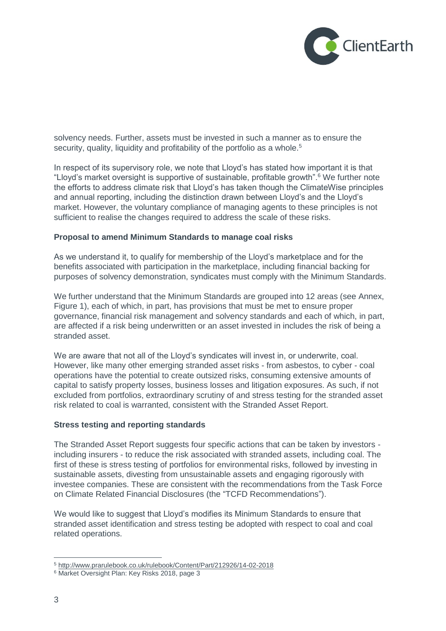

solvency needs. Further, assets must be invested in such a manner as to ensure the security, quality, liquidity and profitability of the portfolio as a whole.<sup>5</sup>

In respect of its supervisory role, we note that Lloyd's has stated how important it is that "Lloyd's market oversight is supportive of sustainable, profitable growth".<sup>6</sup> We further note the efforts to address climate risk that Lloyd's has taken though the ClimateWise principles and annual reporting, including the distinction drawn between Lloyd's and the Lloyd's market. However, the voluntary compliance of managing agents to these principles is not sufficient to realise the changes required to address the scale of these risks.

#### **Proposal to amend Minimum Standards to manage coal risks**

As we understand it, to qualify for membership of the Lloyd's marketplace and for the benefits associated with participation in the marketplace, including financial backing for purposes of solvency demonstration, syndicates must comply with the Minimum Standards.

We further understand that the Minimum Standards are grouped into 12 areas (see Annex, Figure 1), each of which, in part, has provisions that must be met to ensure proper governance, financial risk management and solvency standards and each of which, in part, are affected if a risk being underwritten or an asset invested in includes the risk of being a stranded asset.

We are aware that not all of the Lloyd's syndicates will invest in, or underwrite, coal. However, like many other emerging stranded asset risks - from asbestos, to cyber - coal operations have the potential to create outsized risks, consuming extensive amounts of capital to satisfy property losses, business losses and litigation exposures. As such, if not excluded from portfolios, extraordinary scrutiny of and stress testing for the stranded asset risk related to coal is warranted, consistent with the Stranded Asset Report.

#### **Stress testing and reporting standards**

The Stranded Asset Report suggests four specific actions that can be taken by investors including insurers - to reduce the risk associated with stranded assets, including coal. The first of these is stress testing of portfolios for environmental risks, followed by investing in sustainable assets, divesting from unsustainable assets and engaging rigorously with investee companies. These are consistent with the recommendations from the Task Force on Climate Related Financial Disclosures (the "TCFD Recommendations").

We would like to suggest that Lloyd's modifies its Minimum Standards to ensure that stranded asset identification and stress testing be adopted with respect to coal and coal related operations.

 $\overline{a}$ 

<sup>5</sup> <http://www.prarulebook.co.uk/rulebook/Content/Part/212926/14-02-2018>

<sup>6</sup> Market Oversight Plan: Key Risks 2018, page 3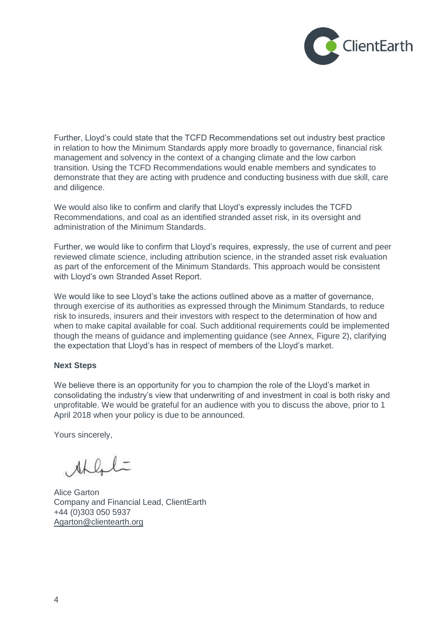

Further, Lloyd's could state that the TCFD Recommendations set out industry best practice in relation to how the Minimum Standards apply more broadly to governance, financial risk management and solvency in the context of a changing climate and the low carbon transition. Using the TCFD Recommendations would enable members and syndicates to demonstrate that they are acting with prudence and conducting business with due skill, care and diligence.

We would also like to confirm and clarify that Lloyd's expressly includes the TCFD Recommendations, and coal as an identified stranded asset risk, in its oversight and administration of the Minimum Standards.

Further, we would like to confirm that Lloyd's requires, expressly, the use of current and peer reviewed climate science, including attribution science, in the stranded asset risk evaluation as part of the enforcement of the Minimum Standards. This approach would be consistent with Lloyd's own Stranded Asset Report.

We would like to see Lloyd's take the actions outlined above as a matter of governance. through exercise of its authorities as expressed through the Minimum Standards, to reduce risk to insureds, insurers and their investors with respect to the determination of how and when to make capital available for coal. Such additional requirements could be implemented though the means of guidance and implementing guidance (see Annex, Figure 2), clarifying the expectation that Lloyd's has in respect of members of the Lloyd's market.

#### **Next Steps**

We believe there is an opportunity for you to champion the role of the Lloyd's market in consolidating the industry's view that underwriting of and investment in coal is both risky and unprofitable. We would be grateful for an audience with you to discuss the above, prior to 1 April 2018 when your policy is due to be announced.

Yours sincerely,

Ahlal

Alice Garton Company and Financial Lead, ClientEarth +44 (0)303 050 5937 [Agarton@clientearth.org](mailto:Agarton@clientearth.org)